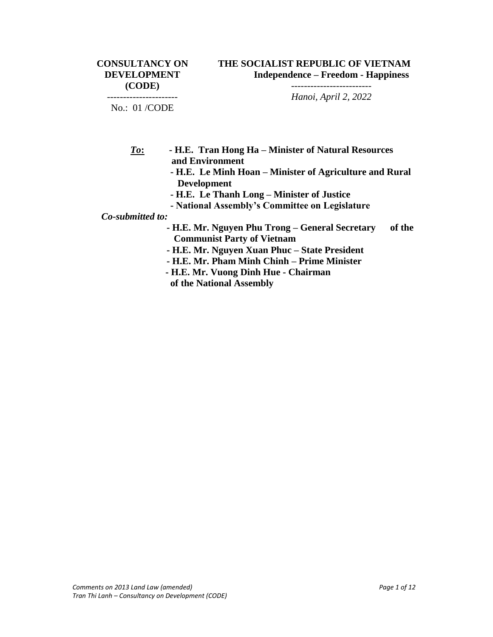----------------------

*------------------------- Hanoi, April 2, 2022*

No.: 01 /CODE

- *To***: - H.E. Tran Hong Ha – Minister of Natural Resources and Environment**
	- **- H.E. Le Minh Hoan – Minister of Agriculture and Rural Development**
	- **- H.E. Le Thanh Long – Minister of Justice**
	- **- National Assembly's Committee on Legislature**

*Co-submitted to:* 

- **- H.E. Mr. Nguyen Phu Trong – General Secretary of the Communist Party of Vietnam**
- **- H.E. Mr. Nguyen Xuan Phuc – State President**
- **- H.E. Mr. Pham Minh Chinh – Prime Minister**
- **- H.E. Mr. Vuong Dinh Hue - Chairman**
- **of the National Assembly**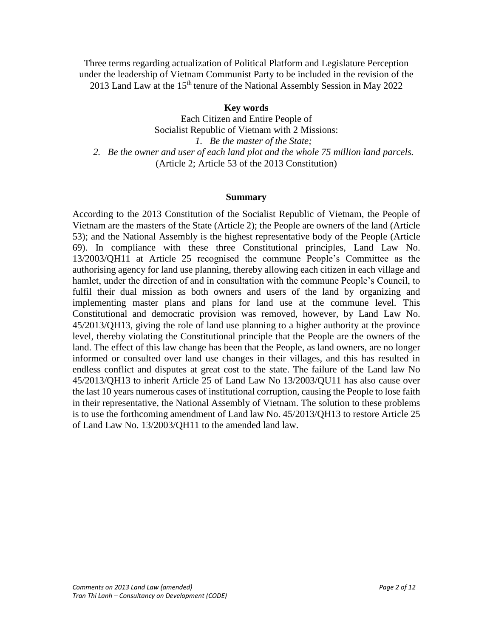Three terms regarding actualization of Political Platform and Legislature Perception under the leadership of Vietnam Communist Party to be included in the revision of the 2013 Land Law at the  $15<sup>th</sup>$  tenure of the National Assembly Session in May 2022

## **Key words**

Each Citizen and Entire People of Socialist Republic of Vietnam with 2 Missions: *1. Be the master of the State; 2. Be the owner and user of each land plot and the whole 75 million land parcels.* (Article 2; Article 53 of the 2013 Constitution)

#### **Summary**

According to the 2013 Constitution of the Socialist Republic of Vietnam, the People of Vietnam are the masters of the State (Article 2); the People are owners of the land (Article 53); and the National Assembly is the highest representative body of the People (Article 69). In compliance with these three Constitutional principles, Land Law No. 13/2003/QH11 at Article 25 recognised the commune People's Committee as the authorising agency for land use planning, thereby allowing each citizen in each village and hamlet, under the direction of and in consultation with the commune People's Council, to fulfil their dual mission as both owners and users of the land by organizing and implementing master plans and plans for land use at the commune level. This Constitutional and democratic provision was removed, however, by Land Law No. 45/2013/QH13, giving the role of land use planning to a higher authority at the province level, thereby violating the Constitutional principle that the People are the owners of the land. The effect of this law change has been that the People, as land owners, are no longer informed or consulted over land use changes in their villages, and this has resulted in endless conflict and disputes at great cost to the state. The failure of the Land law No 45/2013/QH13 to inherit Article 25 of Land Law No 13/2003/QU11 has also cause over the last 10 years numerous cases of institutional corruption, causing the People to lose faith in their representative, the National Assembly of Vietnam. The solution to these problems is to use the forthcoming amendment of Land law No. 45/2013/QH13 to restore Article 25 of Land Law No. 13/2003/QH11 to the amended land law.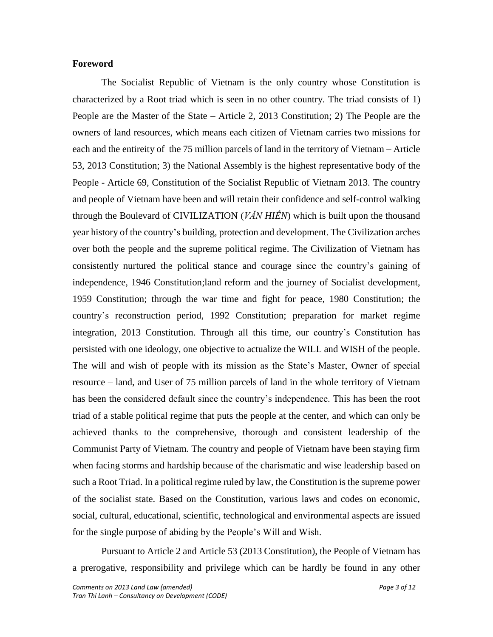### **Foreword**

The Socialist Republic of Vietnam is the only country whose Constitution is characterized by a Root triad which is seen in no other country. The triad consists of 1) People are the Master of the State – Article 2, 2013 Constitution; 2) The People are the owners of land resources, which means each citizen of Vietnam carries two missions for each and the entireity of the 75 million parcels of land in the territory of Vietnam – Article 53, 2013 Constitution; 3) the National Assembly is the highest representative body of the People - Article 69, Constitution of the Socialist Republic of Vietnam 2013. The country and people of Vietnam have been and will retain their confidence and self-control walking through the Boulevard of CIVILIZATION (*VĂN HIẾN*) which is built upon the thousand year history of the country's building, protection and development. The Civilization arches over both the people and the supreme political regime. The Civilization of Vietnam has consistently nurtured the political stance and courage since the country's gaining of independence, 1946 Constitution;land reform and the journey of Socialist development, 1959 Constitution; through the war time and fight for peace, 1980 Constitution; the country's reconstruction period, 1992 Constitution; preparation for market regime integration, 2013 Constitution. Through all this time, our country's Constitution has persisted with one ideology, one objective to actualize the WILL and WISH of the people. The will and wish of people with its mission as the State's Master, Owner of special resource – land, and User of 75 million parcels of land in the whole territory of Vietnam has been the considered default since the country's independence. This has been the root triad of a stable political regime that puts the people at the center, and which can only be achieved thanks to the comprehensive, thorough and consistent leadership of the Communist Party of Vietnam. The country and people of Vietnam have been staying firm when facing storms and hardship because of the charismatic and wise leadership based on such a Root Triad. In a political regime ruled by law, the Constitution is the supreme power of the socialist state. Based on the Constitution, various laws and codes on economic, social, cultural, educational, scientific, technological and environmental aspects are issued for the single purpose of abiding by the People's Will and Wish.

Pursuant to Article 2 and Article 53 (2013 Constitution), the People of Vietnam has a prerogative, responsibility and privilege which can be hardly be found in any other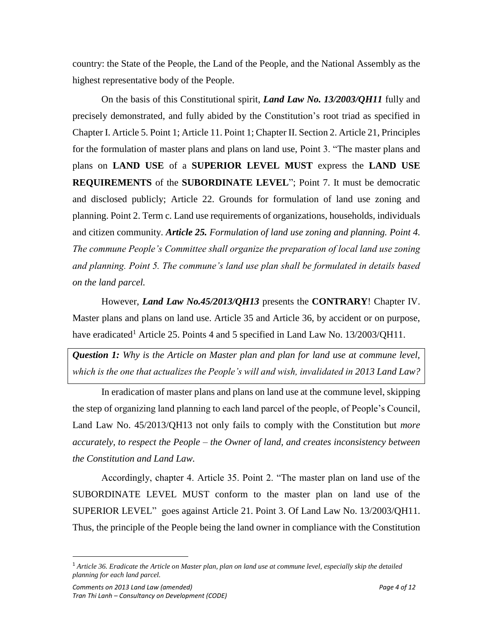country: the State of the People, the Land of the People, and the National Assembly as the highest representative body of the People.

On the basis of this Constitutional spirit, *Land Law No. 13/2003/QH11* fully and precisely demonstrated, and fully abided by the Constitution's root triad as specified in Chapter I. Article 5. Point 1; Article 11. Point 1; Chapter II. Section 2. Article 21, Principles for the formulation of master plans and plans on land use, Point 3. "The master plans and plans on **LAND USE** of a **SUPERIOR LEVEL MUST** express the **LAND USE REQUIREMENTS** of the **SUBORDINATE LEVEL**"; Point 7. It must be democratic and disclosed publicly; Article 22. Grounds for formulation of land use zoning and planning. Point 2. Term c. Land use requirements of organizations, households, individuals and citizen community. *Article 25. Formulation of land use zoning and planning. Point 4. The commune People's Committee shall organize the preparation of local land use zoning and planning. Point 5. The commune's land use plan shall be formulated in details based on the land parcel.*

However, *Land Law No.45/2013/QH13* presents the **CONTRARY**! Chapter IV. Master plans and plans on land use. Article 35 and Article 36, by accident or on purpose, have eradicated<sup>1</sup> Article 25. Points 4 and 5 specified in Land Law No.  $13/2003/QH11$ .

*Question 1: Why is the Article on Master plan and plan for land use at commune level, which is the one that actualizes the People's will and wish, invalidated in 2013 Land Law?*

In eradication of master plans and plans on land use at the commune level, skipping the step of organizing land planning to each land parcel of the people, of People's Council, Land Law No. 45/2013/QH13 not only fails to comply with the Constitution but *more accurately, to respect the People – the Owner of land, and creates inconsistency between the Constitution and Land Law.*

Accordingly, chapter 4. Article 35. Point 2. "The master plan on land use of the SUBORDINATE LEVEL MUST conform to the master plan on land use of the SUPERIOR LEVEL" goes against Article 21. Point 3. Of Land Law No. 13/2003/QH11. Thus, the principle of the People being the land owner in compliance with the Constitution

 $\overline{a}$ 

<sup>1</sup> *Article 36. Eradicate the Article on Master plan, plan on land use at commune level, especially skip the detailed planning for each land parcel.*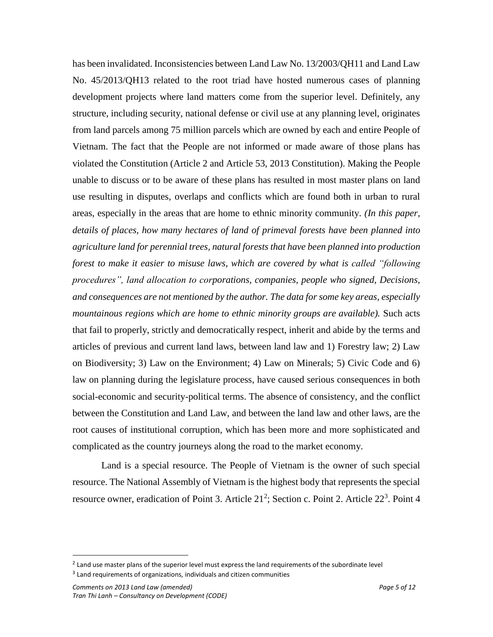has been invalidated. Inconsistencies between Land Law No. 13/2003/QH11 and Land Law No. 45/2013/QH13 related to the root triad have hosted numerous cases of planning development projects where land matters come from the superior level. Definitely, any structure, including security, national defense or civil use at any planning level, originates from land parcels among 75 million parcels which are owned by each and entire People of Vietnam. The fact that the People are not informed or made aware of those plans has violated the Constitution (Article 2 and Article 53, 2013 Constitution). Making the People unable to discuss or to be aware of these plans has resulted in most master plans on land use resulting in disputes, overlaps and conflicts which are found both in urban to rural areas, especially in the areas that are home to ethnic minority community. *(In this paper, details of places, how many hectares of land of primeval forests have been planned into agriculture land for perennial trees, natural forests that have been planned into production forest to make it easier to misuse laws, which are covered by what is called "following procedures", land allocation to corporations, companies, people who signed, Decisions, and consequences are not mentioned by the author. The data for some key areas, especially mountainous regions which are home to ethnic minority groups are available).* Such acts that fail to properly, strictly and democratically respect, inherit and abide by the terms and articles of previous and current land laws, between land law and 1) Forestry law; 2) Law on Biodiversity; 3) Law on the Environment; 4) Law on Minerals; 5) Civic Code and 6) law on planning during the legislature process, have caused serious consequences in both social-economic and security-political terms. The absence of consistency, and the conflict between the Constitution and Land Law, and between the land law and other laws, are the root causes of institutional corruption, which has been more and more sophisticated and complicated as the country journeys along the road to the market economy.

Land is a special resource. The People of Vietnam is the owner of such special resource. The National Assembly of Vietnam is the highest body that represents the special resource owner, eradication of Point 3. Article  $21^2$ ; Section c. Point 2. Article  $22^3$ . Point 4

l

 $^2$  Land use master plans of the superior level must express the land requirements of the subordinate level <sup>3</sup> Land requirements of organizations, individuals and citizen communities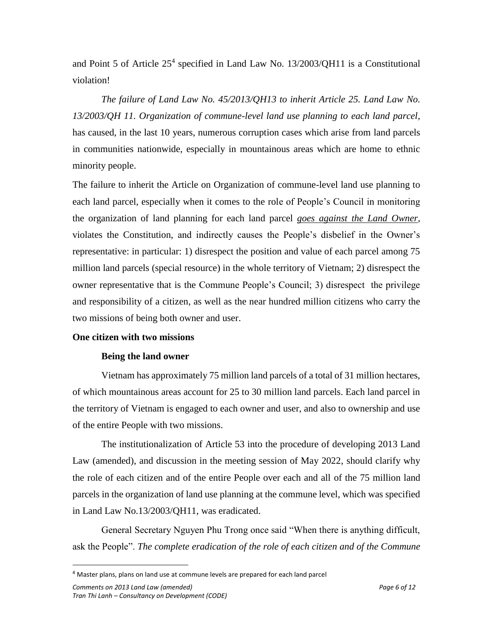and Point 5 of Article 25<sup>4</sup> specified in Land Law No. 13/2003/QH11 is a Constitutional violation!

*The failure of Land Law No. 45/2013/QH13 to inherit Article 25. Land Law No. 13/2003/QH 11. Organization of commune-level land use planning to each land parcel,* has caused, in the last 10 years, numerous corruption cases which arise from land parcels in communities nationwide, especially in mountainous areas which are home to ethnic minority people.

The failure to inherit the Article on Organization of commune-level land use planning to each land parcel, especially when it comes to the role of People's Council in monitoring the organization of land planning for each land parcel *goes against the Land Owner*, violates the Constitution, and indirectly causes the People's disbelief in the Owner's representative: in particular: 1) disrespect the position and value of each parcel among 75 million land parcels (special resource) in the whole territory of Vietnam; 2) disrespect the owner representative that is the Commune People's Council; 3) disrespect the privilege and responsibility of a citizen, as well as the near hundred million citizens who carry the two missions of being both owner and user.

### **One citizen with two missions**

# **Being the land owner**

Vietnam has approximately 75 million land parcels of a total of 31 million hectares, of which mountainous areas account for 25 to 30 million land parcels. Each land parcel in the territory of Vietnam is engaged to each owner and user, and also to ownership and use of the entire People with two missions.

The institutionalization of Article 53 into the procedure of developing 2013 Land Law (amended), and discussion in the meeting session of May 2022, should clarify why the role of each citizen and of the entire People over each and all of the 75 million land parcels in the organization of land use planning at the commune level, which was specified in Land Law No.13/2003/QH11, was eradicated.

General Secretary Nguyen Phu Trong once said "When there is anything difficult, ask the People". *The complete eradication of the role of each citizen and of the Commune* 

 $\overline{\phantom{a}}$ 

<sup>&</sup>lt;sup>4</sup> Master plans, plans on land use at commune levels are prepared for each land parcel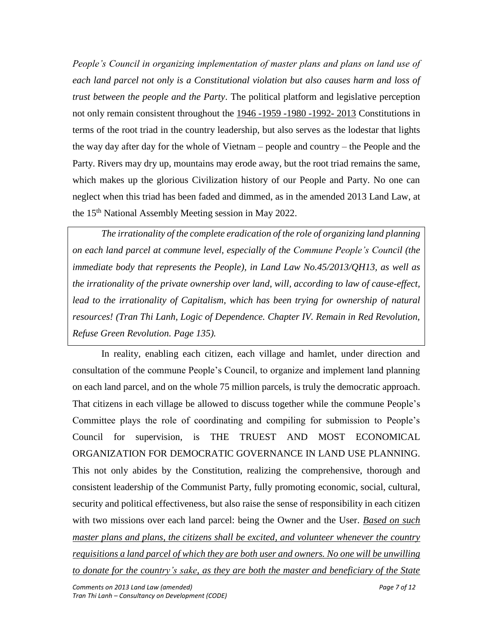*People's Council in organizing implementation of master plans and plans on land use of each land parcel not only is a Constitutional violation but also causes harm and loss of trust between the people and the Party*. The political platform and legislative perception not only remain consistent throughout the 1946 -1959 -1980 -1992- 2013 Constitutions in terms of the root triad in the country leadership, but also serves as the lodestar that lights the way day after day for the whole of Vietnam – people and country – the People and the Party. Rivers may dry up, mountains may erode away, but the root triad remains the same, which makes up the glorious Civilization history of our People and Party. No one can neglect when this triad has been faded and dimmed, as in the amended 2013 Land Law, at the 15<sup>th</sup> National Assembly Meeting session in May 2022.

*The irrationality of the complete eradication of the role of organizing land planning on each land parcel at commune level, especially of the Commune People's Council (the immediate body that represents the People), in Land Law No.45/2013/QH13, as well as the irrationality of the private ownership over land, will, according to law of cause-effect, lead to the irrationality of Capitalism, which has been trying for ownership of natural resources! (Tran Thi Lanh, Logic of Dependence. Chapter IV. Remain in Red Revolution, Refuse Green Revolution. Page 135).*

In reality, enabling each citizen, each village and hamlet, under direction and consultation of the commune People's Council, to organize and implement land planning on each land parcel, and on the whole 75 million parcels, is truly the democratic approach. That citizens in each village be allowed to discuss together while the commune People's Committee plays the role of coordinating and compiling for submission to People's Council for supervision, is THE TRUEST AND MOST ECONOMICAL ORGANIZATION FOR DEMOCRATIC GOVERNANCE IN LAND USE PLANNING. This not only abides by the Constitution, realizing the comprehensive, thorough and consistent leadership of the Communist Party, fully promoting economic, social, cultural, security and political effectiveness, but also raise the sense of responsibility in each citizen with two missions over each land parcel: being the Owner and the User. *Based on such master plans and plans, the citizens shall be excited, and volunteer whenever the country requisitions a land parcel of which they are both user and owners. No one will be unwilling to donate for the country's sake, as they are both the master and beneficiary of the State*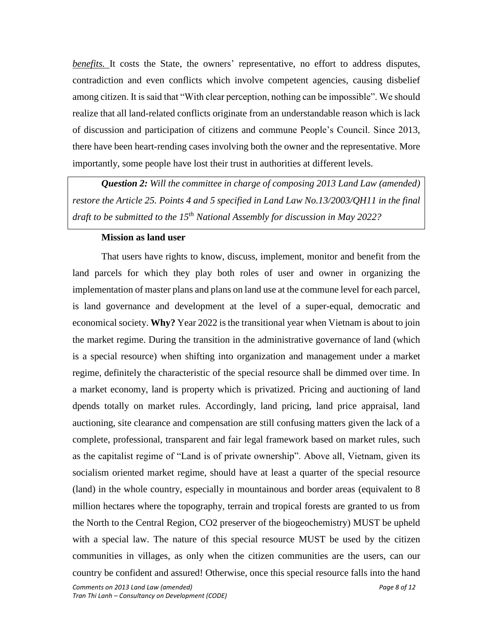*benefits*. It costs the State, the owners' representative, no effort to address disputes, contradiction and even conflicts which involve competent agencies, causing disbelief among citizen. It is said that "With clear perception, nothing can be impossible". We should realize that all land-related conflicts originate from an understandable reason which is lack of discussion and participation of citizens and commune People's Council. Since 2013, there have been heart-rending cases involving both the owner and the representative. More importantly, some people have lost their trust in authorities at different levels.

*Question 2: Will the committee in charge of composing 2013 Land Law (amended) restore the Article 25. Points 4 and 5 specified in Land Law No.13/2003/QH11 in the final draft to be submitted to the 15th National Assembly for discussion in May 2022?*

### **Mission as land user**

*Comments on 2013 Land Law (amended) Page 8 of 12* That users have rights to know, discuss, implement, monitor and benefit from the land parcels for which they play both roles of user and owner in organizing the implementation of master plans and plans on land use at the commune level for each parcel, is land governance and development at the level of a super-equal, democratic and economical society. **Why?** Year 2022 is the transitional year when Vietnam is about to join the market regime. During the transition in the administrative governance of land (which is a special resource) when shifting into organization and management under a market regime, definitely the characteristic of the special resource shall be dimmed over time. In a market economy, land is property which is privatized. Pricing and auctioning of land dpends totally on market rules. Accordingly, land pricing, land price appraisal, land auctioning, site clearance and compensation are still confusing matters given the lack of a complete, professional, transparent and fair legal framework based on market rules, such as the capitalist regime of "Land is of private ownership". Above all, Vietnam, given its socialism oriented market regime, should have at least a quarter of the special resource (land) in the whole country, especially in mountainous and border areas (equivalent to 8 million hectares where the topography, terrain and tropical forests are granted to us from the North to the Central Region, CO2 preserver of the biogeochemistry) MUST be upheld with a special law. The nature of this special resource MUST be used by the citizen communities in villages, as only when the citizen communities are the users, can our country be confident and assured! Otherwise, once this special resource falls into the hand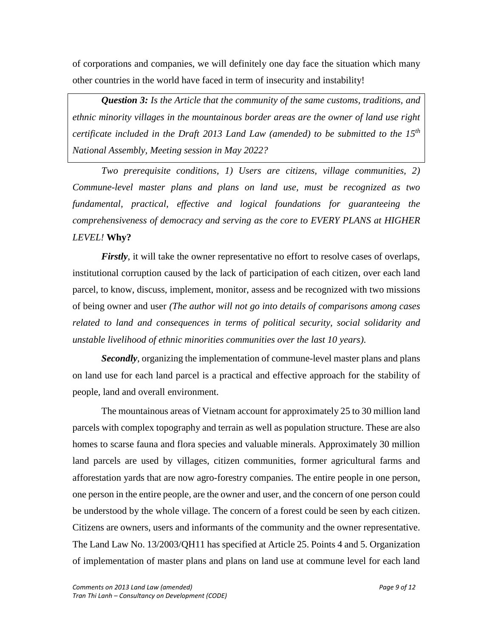of corporations and companies, we will definitely one day face the situation which many other countries in the world have faced in term of insecurity and instability!

*Question 3: Is the Article that the community of the same customs, traditions, and ethnic minority villages in the mountainous border areas are the owner of land use right certificate included in the Draft 2013 Land Law (amended) to be submitted to the 15th National Assembly, Meeting session in May 2022?*

*Two prerequisite conditions, 1) Users are citizens, village communities, 2) Commune-level master plans and plans on land use, must be recognized as two fundamental, practical, effective and logical foundations for guaranteeing the comprehensiveness of democracy and serving as the core to EVERY PLANS at HIGHER LEVEL!* **Why?**

*Firstly*, it will take the owner representative no effort to resolve cases of overlaps, institutional corruption caused by the lack of participation of each citizen, over each land parcel, to know, discuss, implement, monitor, assess and be recognized with two missions of being owner and user *(The author will not go into details of comparisons among cases related to land and consequences in terms of political security, social solidarity and unstable livelihood of ethnic minorities communities over the last 10 years).*

*Secondly*, organizing the implementation of commune-level master plans and plans on land use for each land parcel is a practical and effective approach for the stability of people, land and overall environment.

The mountainous areas of Vietnam account for approximately 25 to 30 million land parcels with complex topography and terrain as well as population structure. These are also homes to scarse fauna and flora species and valuable minerals. Approximately 30 million land parcels are used by villages, citizen communities, former agricultural farms and afforestation yards that are now agro-forestry companies. The entire people in one person, one person in the entire people, are the owner and user, and the concern of one person could be understood by the whole village. The concern of a forest could be seen by each citizen. Citizens are owners, users and informants of the community and the owner representative. The Land Law No. 13/2003/QH11 has specified at Article 25. Points 4 and 5. Organization of implementation of master plans and plans on land use at commune level for each land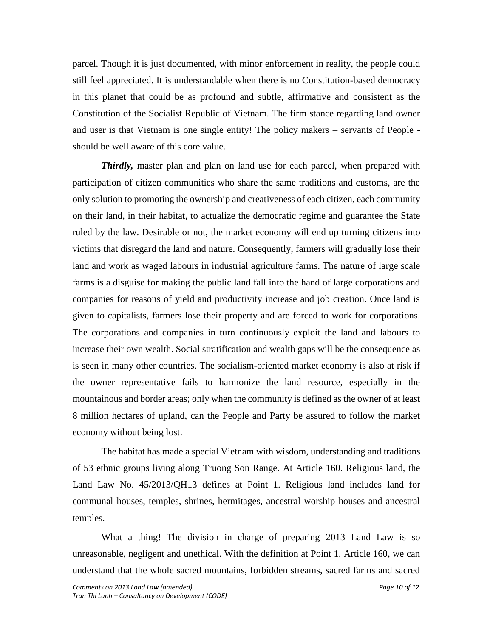parcel. Though it is just documented, with minor enforcement in reality, the people could still feel appreciated. It is understandable when there is no Constitution-based democracy in this planet that could be as profound and subtle, affirmative and consistent as the Constitution of the Socialist Republic of Vietnam. The firm stance regarding land owner and user is that Vietnam is one single entity! The policy makers – servants of People should be well aware of this core value.

*Thirdly,* master plan and plan on land use for each parcel, when prepared with participation of citizen communities who share the same traditions and customs, are the only solution to promoting the ownership and creativeness of each citizen, each community on their land, in their habitat, to actualize the democratic regime and guarantee the State ruled by the law. Desirable or not, the market economy will end up turning citizens into victims that disregard the land and nature. Consequently, farmers will gradually lose their land and work as waged labours in industrial agriculture farms. The nature of large scale farms is a disguise for making the public land fall into the hand of large corporations and companies for reasons of yield and productivity increase and job creation. Once land is given to capitalists, farmers lose their property and are forced to work for corporations. The corporations and companies in turn continuously exploit the land and labours to increase their own wealth. Social stratification and wealth gaps will be the consequence as is seen in many other countries. The socialism-oriented market economy is also at risk if the owner representative fails to harmonize the land resource, especially in the mountainous and border areas; only when the community is defined as the owner of at least 8 million hectares of upland, can the People and Party be assured to follow the market economy without being lost.

The habitat has made a special Vietnam with wisdom, understanding and traditions of 53 ethnic groups living along Truong Son Range. At Article 160. Religious land, the Land Law No. 45/2013/QH13 defines at Point 1. Religious land includes land for communal houses, temples, shrines, hermitages, ancestral worship houses and ancestral temples.

What a thing! The division in charge of preparing 2013 Land Law is so unreasonable, negligent and unethical. With the definition at Point 1. Article 160, we can understand that the whole sacred mountains, forbidden streams, sacred farms and sacred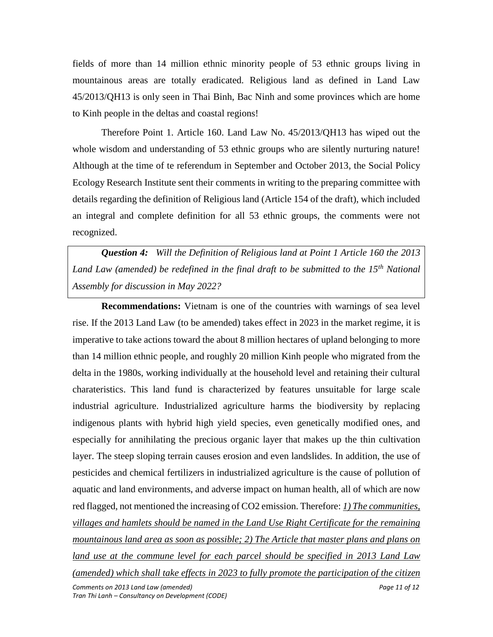fields of more than 14 million ethnic minority people of 53 ethnic groups living in mountainous areas are totally eradicated. Religious land as defined in Land Law 45/2013/QH13 is only seen in Thai Binh, Bac Ninh and some provinces which are home to Kinh people in the deltas and coastal regions!

Therefore Point 1. Article 160. Land Law No. 45/2013/QH13 has wiped out the whole wisdom and understanding of 53 ethnic groups who are silently nurturing nature! Although at the time of te referendum in September and October 2013, the Social Policy Ecology Research Institute sent their comments in writing to the preparing committee with details regarding the definition of Religious land (Article 154 of the draft), which included an integral and complete definition for all 53 ethnic groups, the comments were not recognized.

*Question 4: Will the Definition of Religious land at Point 1 Article 160 the 2013 Land Law (amended) be redefined in the final draft to be submitted to the 15th National Assembly for discussion in May 2022?*

*Comments on 2013 Land Law (amended) Page 11 of 12 Tran Thi Lanh – Consultancy on Development (CODE)* **Recommendations:** Vietnam is one of the countries with warnings of sea level rise. If the 2013 Land Law (to be amended) takes effect in 2023 in the market regime, it is imperative to take actions toward the about 8 million hectares of upland belonging to more than 14 million ethnic people, and roughly 20 million Kinh people who migrated from the delta in the 1980s, working individually at the household level and retaining their cultural charateristics. This land fund is characterized by features unsuitable for large scale industrial agriculture. Industrialized agriculture harms the biodiversity by replacing indigenous plants with hybrid high yield species, even genetically modified ones, and especially for annihilating the precious organic layer that makes up the thin cultivation layer. The steep sloping terrain causes erosion and even landslides. In addition, the use of pesticides and chemical fertilizers in industrialized agriculture is the cause of pollution of aquatic and land environments, and adverse impact on human health, all of which are now red flagged, not mentioned the increasing of CO2 emission. Therefore: *1) The communities, villages and hamlets should be named in the Land Use Right Certificate for the remaining mountainous land area as soon as possible; 2) The Article that master plans and plans on land use at the commune level for each parcel should be specified in 2013 Land Law (amended) which shall take effects in 2023 to fully promote the participation of the citizen*